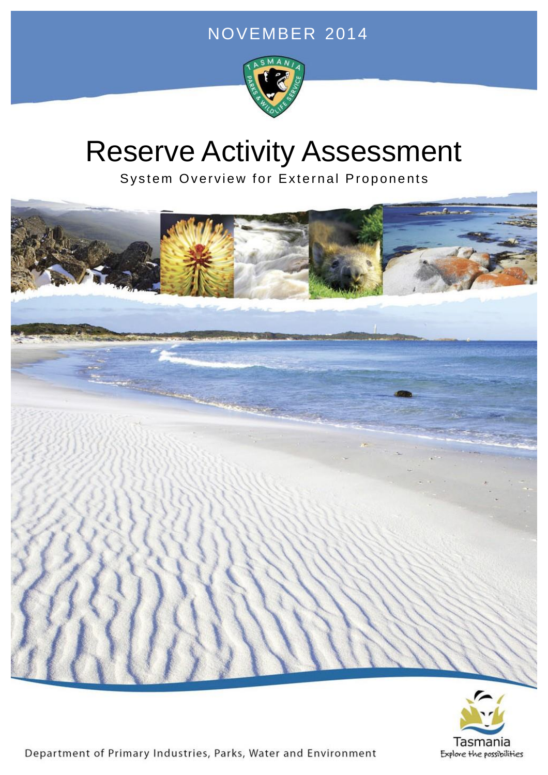## NOVEMBER 2014



# **Reserve Activity Assessment**

System Overview for External Proponents





Department of Primary Industries, Parks, Water and Environment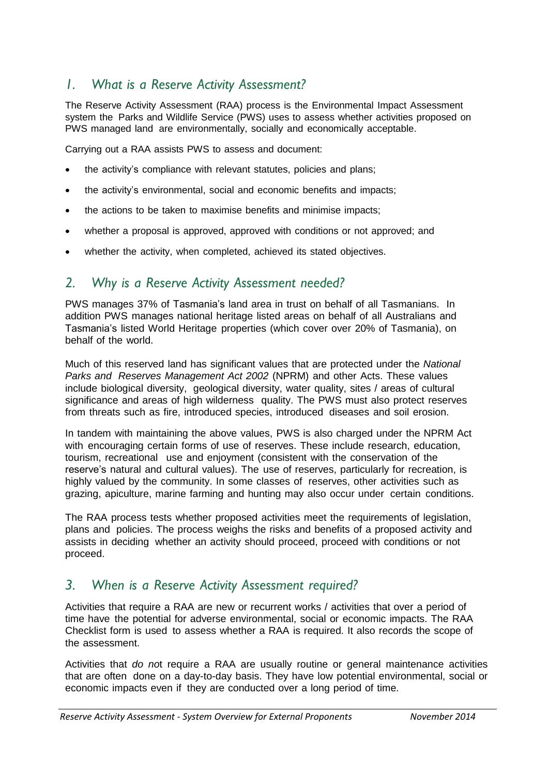## *1. What is a Reserve Activity Assessment?*

The Reserve Activity Assessment (RAA) process is the Environmental Impact Assessment system the Parks and Wildlife Service (PWS) uses to assess whether activities proposed on PWS managed land are environmentally, socially and economically acceptable.

Carrying out a RAA assists PWS to assess and document:

- the activity's compliance with relevant statutes, policies and plans;
- the activity's environmental, social and economic benefits and impacts;
- the actions to be taken to maximise benefits and minimise impacts;
- whether a proposal is approved, approved with conditions or not approved; and
- whether the activity, when completed, achieved its stated objectives.

### *2. Why is a Reserve Activity Assessment needed?*

PWS manages 37% of Tasmania's land area in trust on behalf of all Tasmanians. In addition PWS manages national heritage listed areas on behalf of all Australians and Tasmania's listed World Heritage properties (which cover over 20% of Tasmania), on behalf of the world.

Much of this reserved land has significant values that are protected under the *National Parks and Reserves Management Act 2002* (NPRM) and other Acts. These values include biological diversity, geological diversity, water quality, sites / areas of cultural significance and areas of high wilderness quality. The PWS must also protect reserves from threats such as fire, introduced species, introduced diseases and soil erosion.

In tandem with maintaining the above values, PWS is also charged under the NPRM Act with encouraging certain forms of use of reserves. These include research, education, tourism, recreational use and enjoyment (consistent with the conservation of the reserve's natural and cultural values). The use of reserves, particularly for recreation, is highly valued by the community. In some classes of reserves, other activities such as grazing, apiculture, marine farming and hunting may also occur under certain conditions.

The RAA process tests whether proposed activities meet the requirements of legislation, plans and policies. The process weighs the risks and benefits of a proposed activity and assists in deciding whether an activity should proceed, proceed with conditions or not proceed.

## *3. When is a Reserve Activity Assessment required?*

Activities that require a RAA are new or recurrent works / activities that over a period of time have the potential for adverse environmental, social or economic impacts. The RAA Checklist form is used to assess whether a RAA is required. It also records the scope of the assessment.

Activities that *do no*t require a RAA are usually routine or general maintenance activities that are often done on a day-to-day basis. They have low potential environmental, social or economic impacts even if they are conducted over a long period of time.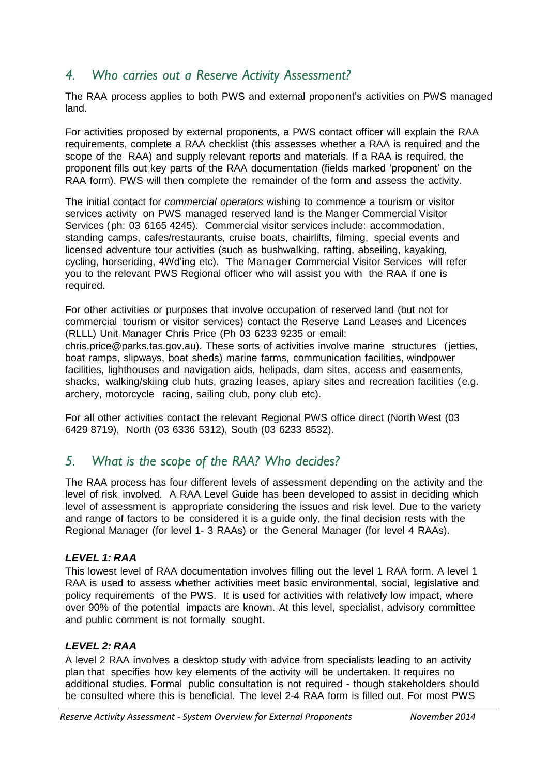## *4. Who carries out a Reserve Activity Assessment?*

The RAA process applies to both PWS and external proponent's activities on PWS managed land.

For activities proposed by external proponents, a PWS contact officer will explain the RAA requirements, complete a RAA checklist (this assesses whether a RAA is required and the scope of the RAA) and supply relevant reports and materials. If a RAA is required, the proponent fills out key parts of the RAA documentation (fields marked 'proponent' on the RAA form). PWS will then complete the remainder of the form and assess the activity.

The initial contact for *commercial operators* wishing to commence a tourism or visitor services activity on PWS managed reserved land is the Manger Commercial Visitor Services (ph: 03 6165 4245). Commercial visitor services include: accommodation, standing camps, cafes/restaurants, cruise boats, chairlifts, filming, special events and licensed adventure tour activities (such as bushwalking, rafting, abseiling, kayaking, cycling, horseriding, 4Wd'ing etc). The Manager Commercial Visitor Services will refer you to the relevant PWS Regional officer who will assist you with the RAA if one is required.

For other activities or purposes that involve occupation of reserved land (but not for commercial tourism or visitor services) contact the Reserve Land Leases and Licences (RLLL) Unit Manager Chris Price (Ph 03 6233 9235 or email:

chris.price@parks.tas.gov.au). These sorts of activities involve marine structures (jetties, boat ramps, slipways, boat sheds) marine farms, communication facilities, windpower facilities, lighthouses and navigation aids, helipads, dam sites, access and easements, shacks, walking/skiing club huts, grazing leases, apiary sites and recreation facilities (e.g. archery, motorcycle racing, sailing club, pony club etc).

For all other activities contact the relevant Regional PWS office direct (North West (03 6429 8719), North (03 6336 5312), South (03 6233 8532).

## *5. What is the scope of the RAA? Who decides?*

The RAA process has four different levels of assessment depending on the activity and the level of risk involved. A RAA Level Guide has been developed to assist in deciding which level of assessment is appropriate considering the issues and risk level. Due to the variety and range of factors to be considered it is a guide only, the final decision rests with the Regional Manager (for level 1- 3 RAAs) or the General Manager (for level 4 RAAs).

#### *LEVEL 1: RAA*

This lowest level of RAA documentation involves filling out the level 1 RAA form. A level 1 RAA is used to assess whether activities meet basic environmental, social, legislative and policy requirements of the PWS. It is used for activities with relatively low impact, where over 90% of the potential impacts are known. At this level, specialist, advisory committee and public comment is not formally sought.

#### *LEVEL 2: RAA*

A level 2 RAA involves a desktop study with advice from specialists leading to an activity plan that specifies how key elements of the activity will be undertaken. It requires no additional studies. Formal public consultation is not required - though stakeholders should be consulted where this is beneficial. The level 2-4 RAA form is filled out. For most PWS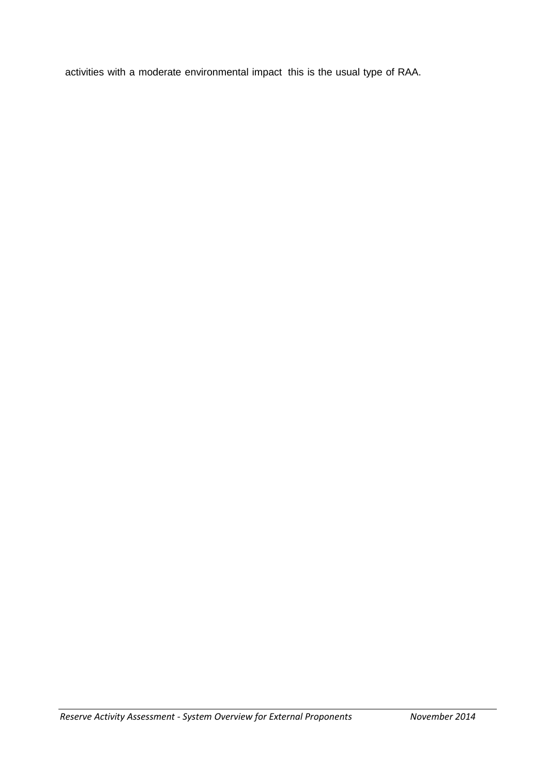activities with a moderate environmental impact this is the usual type of RAA.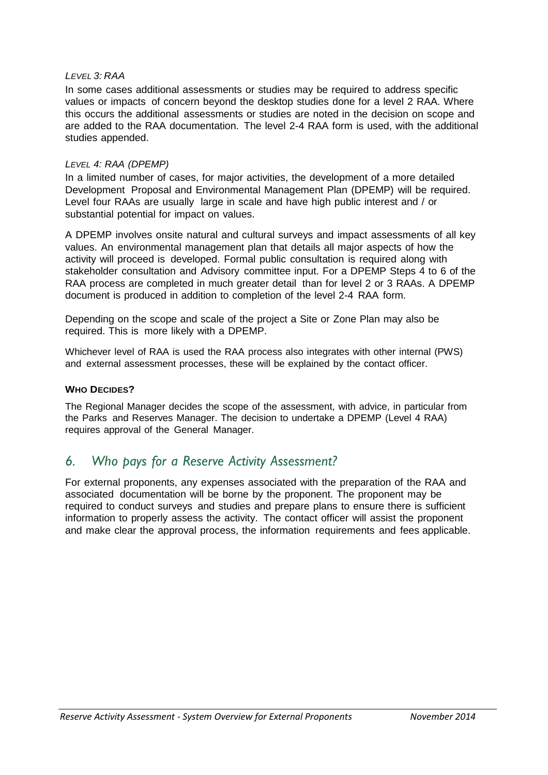#### *LEVEL 3: RAA*

In some cases additional assessments or studies may be required to address specific values or impacts of concern beyond the desktop studies done for a level 2 RAA. Where this occurs the additional assessments or studies are noted in the decision on scope and are added to the RAA documentation. The level 2-4 RAA form is used, with the additional studies appended.

#### *LEVEL 4: RAA (DPEMP)*

In a limited number of cases, for major activities, the development of a more detailed Development Proposal and Environmental Management Plan (DPEMP) will be required. Level four RAAs are usually large in scale and have high public interest and / or substantial potential for impact on values.

A DPEMP involves onsite natural and cultural surveys and impact assessments of all key values. An environmental management plan that details all major aspects of how the activity will proceed is developed. Formal public consultation is required along with stakeholder consultation and Advisory committee input. For a DPEMP Steps 4 to 6 of the RAA process are completed in much greater detail than for level 2 or 3 RAAs. A DPEMP document is produced in addition to completion of the level 2-4 RAA form.

Depending on the scope and scale of the project a Site or Zone Plan may also be required. This is more likely with a DPEMP.

Whichever level of RAA is used the RAA process also integrates with other internal (PWS) and external assessment processes, these will be explained by the contact officer.

#### **WHO DECIDES?**

The Regional Manager decides the scope of the assessment, with advice, in particular from the Parks and Reserves Manager. The decision to undertake a DPEMP (Level 4 RAA) requires approval of the General Manager.

## *6. Who pays for a Reserve Activity Assessment?*

For external proponents, any expenses associated with the preparation of the RAA and associated documentation will be borne by the proponent. The proponent may be required to conduct surveys and studies and prepare plans to ensure there is sufficient information to properly assess the activity. The contact officer will assist the proponent and make clear the approval process, the information requirements and fees applicable.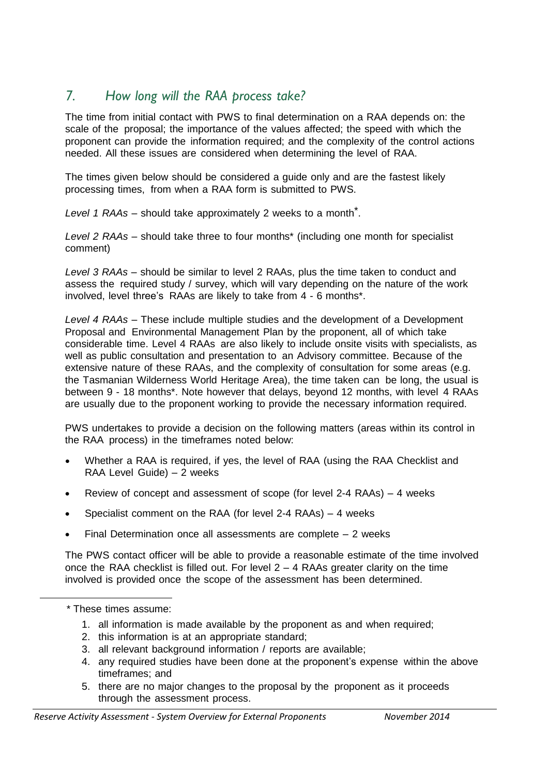## *7. How long will the RAA process take?*

The time from initial contact with PWS to final determination on a RAA depends on: the scale of the proposal; the importance of the values affected; the speed with which the proponent can provide the information required; and the complexity of the control actions needed. All these issues are considered when determining the level of RAA.

The times given below should be considered a guide only and are the fastest likely processing times, from when a RAA form is submitted to PWS.

*Level 1 RAAs* – should take approximately 2 weeks to a month\*.

*Level 2 RAAs* – should take three to four months\* (including one month for specialist comment)

*Level 3 RAAs* – should be similar to level 2 RAAs, plus the time taken to conduct and assess the required study / survey, which will vary depending on the nature of the work involved, level three's RAAs are likely to take from 4 - 6 months\*.

*Level 4 RAAs* – These include multiple studies and the development of a Development Proposal and Environmental Management Plan by the proponent, all of which take considerable time. Level 4 RAAs are also likely to include onsite visits with specialists, as well as public consultation and presentation to an Advisory committee. Because of the extensive nature of these RAAs, and the complexity of consultation for some areas (e.g. the Tasmanian Wilderness World Heritage Area), the time taken can be long, the usual is between 9 - 18 months\*. Note however that delays, beyond 12 months, with level 4 RAAs are usually due to the proponent working to provide the necessary information required.

PWS undertakes to provide a decision on the following matters (areas within its control in the RAA process) in the timeframes noted below:

- Whether a RAA is required, if yes, the level of RAA (using the RAA Checklist and RAA Level Guide) – 2 weeks
- Review of concept and assessment of scope (for level 2-4 RAAs) 4 weeks
- Specialist comment on the RAA (for level 2-4 RAAs) 4 weeks
- Final Determination once all assessments are complete 2 weeks

The PWS contact officer will be able to provide a reasonable estimate of the time involved once the RAA checklist is filled out. For level  $2 - 4$  RAAs greater clarity on the time involved is provided once the scope of the assessment has been determined.

- 1. all information is made available by the proponent as and when required;
- 2. this information is at an appropriate standard;
- 3. all relevant background information / reports are available;
- 4. any required studies have been done at the proponent's expense within the above timeframes; and
- 5. there are no major changes to the proposal by the proponent as it proceeds through the assessment process.

<sup>\*</sup> These times assume: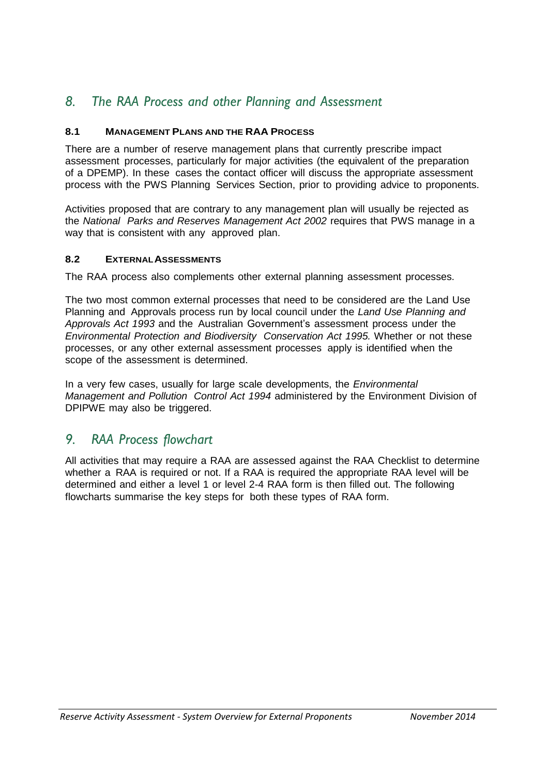## *8. The RAA Process and other Planning and Assessment*

#### **8.1 MANAGEMENT PLANS AND THE RAA PROCESS**

There are a number of reserve management plans that currently prescribe impact assessment processes, particularly for major activities (the equivalent of the preparation of a DPEMP). In these cases the contact officer will discuss the appropriate assessment process with the PWS Planning Services Section, prior to providing advice to proponents.

Activities proposed that are contrary to any management plan will usually be rejected as the *National Parks and Reserves Management Act 2002* requires that PWS manage in a way that is consistent with any approved plan.

#### **8.2 EXTERNALASSESSMENTS**

The RAA process also complements other external planning assessment processes.

The two most common external processes that need to be considered are the Land Use Planning and Approvals process run by local council under the *Land Use Planning and Approvals Act 1993* and the Australian Government's assessment process under the *Environmental Protection and Biodiversity Conservation Act 1995.* Whether or not these processes, or any other external assessment processes apply is identified when the scope of the assessment is determined.

In a very few cases, usually for large scale developments, the *Environmental Management and Pollution Control Act 1994* administered by the Environment Division of DPIPWE may also be triggered.

## *9. RAA Process flowchart*

All activities that may require a RAA are assessed against the RAA Checklist to determine whether a RAA is required or not. If a RAA is required the appropriate RAA level will be determined and either a level 1 or level 2-4 RAA form is then filled out. The following flowcharts summarise the key steps for both these types of RAA form.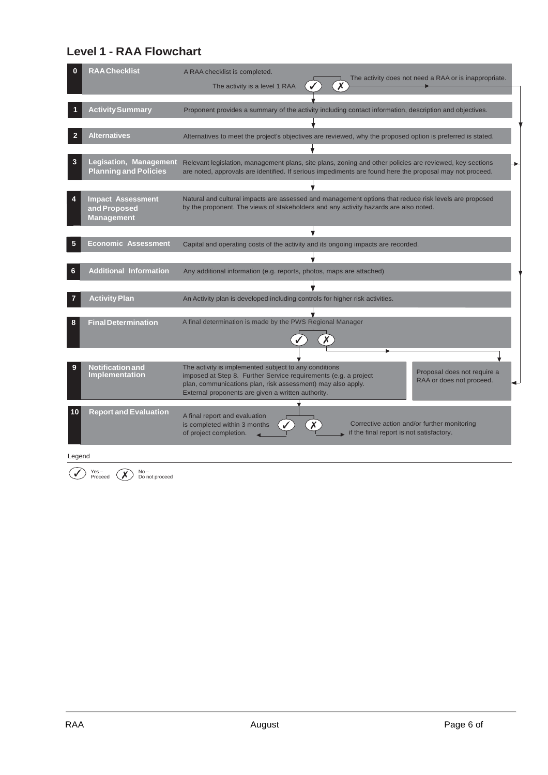## **Level 1 - RAA Flowchart**

|        | <b>RAAChecklist</b>                                           | A RAA checklist is completed.<br>The activity does not need a RAA or is inappropriate.<br>$\mathsf{X}$<br>The activity is a level 1 RAA                                                                                                                                                                  |  |  |
|--------|---------------------------------------------------------------|----------------------------------------------------------------------------------------------------------------------------------------------------------------------------------------------------------------------------------------------------------------------------------------------------------|--|--|
|        | <b>Activity Summary</b>                                       | Proponent provides a summary of the activity including contact information, description and objectives.                                                                                                                                                                                                  |  |  |
|        | <b>Alternatives</b>                                           | Alternatives to meet the project's objectives are reviewed, why the proposed option is preferred is stated.                                                                                                                                                                                              |  |  |
| 3      | Legisation, Management<br><b>Planning and Policies</b>        | Relevant legislation, management plans, site plans, zoning and other policies are reviewed, key sections<br>are noted, approvals are identified. If serious impediments are found here the proposal may not proceed.                                                                                     |  |  |
|        | <b>Impact Assessment</b><br>and Proposed<br><b>Management</b> | Natural and cultural impacts are assessed and management options that reduce risk levels are proposed<br>by the proponent. The views of stakeholders and any activity hazards are also noted.                                                                                                            |  |  |
|        |                                                               |                                                                                                                                                                                                                                                                                                          |  |  |
|        | <b>Economic Assessment</b>                                    | Capital and operating costs of the activity and its ongoing impacts are recorded.                                                                                                                                                                                                                        |  |  |
| 6      | <b>Additional Information</b>                                 | Any additional information (e.g. reports, photos, maps are attached)                                                                                                                                                                                                                                     |  |  |
|        |                                                               |                                                                                                                                                                                                                                                                                                          |  |  |
|        | <b>Activity Plan</b>                                          | An Activity plan is developed including controls for higher risk activities.                                                                                                                                                                                                                             |  |  |
| 8      | <b>Final Determination</b>                                    | A final determination is made by the PWS Regional Manager                                                                                                                                                                                                                                                |  |  |
|        |                                                               |                                                                                                                                                                                                                                                                                                          |  |  |
| 9      | <b>Notification and</b><br>Implementation                     | The activity is implemented subject to any conditions<br>Proposal does not require a<br>imposed at Step 8. Further Service requirements (e.g. a project<br>RAA or does not proceed.<br>plan, communications plan, risk assessment) may also apply.<br>External proponents are given a written authority. |  |  |
|        | <b>Report and Evaluation</b>                                  | A final report and evaluation<br>Corrective action and/or further monitoring<br>is completed within 3 months<br>if the final report is not satisfactory.<br>of project completion.                                                                                                                       |  |  |
| Legend |                                                               |                                                                                                                                                                                                                                                                                                          |  |  |

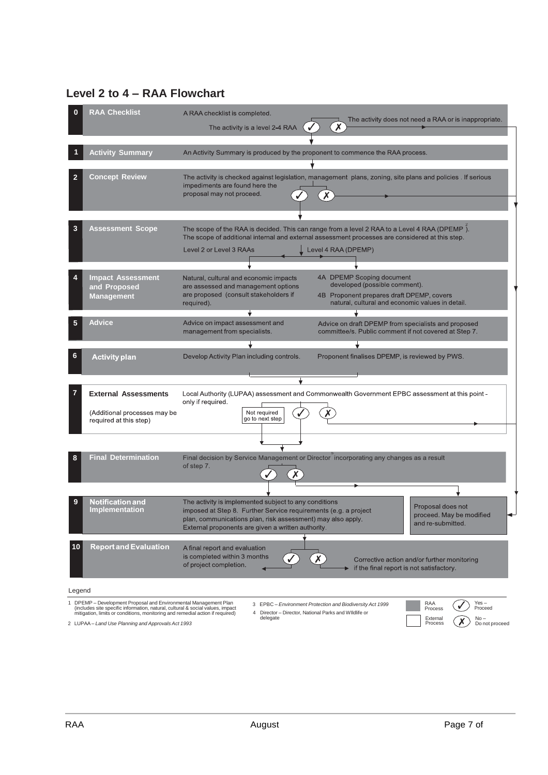## **Level 2 to 4 – RAA Flowchart**

| 0      | <b>RAA Checklist</b>                                                                                                                                                                                                                                                                                                                                                                                                             | A RAA checklist is completed.<br>The activity does not need a RAA or is inappropriate.<br>X<br>The activity is a level 2-4 RAA                                                                                                                                                                                      |  |  |  |
|--------|----------------------------------------------------------------------------------------------------------------------------------------------------------------------------------------------------------------------------------------------------------------------------------------------------------------------------------------------------------------------------------------------------------------------------------|---------------------------------------------------------------------------------------------------------------------------------------------------------------------------------------------------------------------------------------------------------------------------------------------------------------------|--|--|--|
|        | <b>Activity Summary</b>                                                                                                                                                                                                                                                                                                                                                                                                          | An Activity Summary is produced by the proponent to commence the RAA process.                                                                                                                                                                                                                                       |  |  |  |
| 2      | <b>Concept Review</b>                                                                                                                                                                                                                                                                                                                                                                                                            | The activity is checked against legislation, management plans, zoning, site plans and policies . If serious<br>impediments are found here the<br>proposal may not proceed.                                                                                                                                          |  |  |  |
| 3      | <b>Assessment Scope</b>                                                                                                                                                                                                                                                                                                                                                                                                          | The scope of the RAA is decided. This can range from a level 2 RAA to a Level 4 RAA (DPEMP).<br>The scope of additional internal and external assessment processes are considered at this step.<br>Level 2 or Level 3 RAAs<br>Level 4 RAA (DPEMP)                                                                   |  |  |  |
| 4      | <b>Impact Assessment</b><br>and Proposed<br><b>Management</b>                                                                                                                                                                                                                                                                                                                                                                    | 4A DPEMP Scoping document<br>Natural, cultural and economic impacts<br>developed (possible comment).<br>are assessed and management options<br>are proposed (consult stakeholders if<br>4B Proponent prepares draft DPEMP, covers<br>natural, cultural and economic values in detail.<br>required).                 |  |  |  |
| 5      | <b>Advice</b>                                                                                                                                                                                                                                                                                                                                                                                                                    | Advice on impact assessment and<br>Advice on draft DPEMP from specialists and proposed<br>committee/s. Public comment if not covered at Step 7.<br>management from specialists.                                                                                                                                     |  |  |  |
| 6      | <b>Activity plan</b>                                                                                                                                                                                                                                                                                                                                                                                                             | Develop Activity Plan including controls.<br>Proponent finalises DPEMP, is reviewed by PWS.                                                                                                                                                                                                                         |  |  |  |
| 7      | <b>External Assessments</b><br>(Additional processes may be<br>required at this step)                                                                                                                                                                                                                                                                                                                                            | Local Authority (LUPAA) assessment and Commonwealth Government EPBC assessment at this point -<br>only if required.<br>Not required<br>go to next step                                                                                                                                                              |  |  |  |
| 8      | <b>Final Determination</b>                                                                                                                                                                                                                                                                                                                                                                                                       | Final decision by Service Management or Director incorporating any changes as a result<br>of step 7.                                                                                                                                                                                                                |  |  |  |
| 9      | <b>Notification and</b><br><b>Implementation</b>                                                                                                                                                                                                                                                                                                                                                                                 | The activity is implemented subject to any conditions<br>Proposal does not<br>imposed at Step 8. Further Service requirements (e.g. a project<br>proceed. May be modified<br>plan, communications plan, risk assessment) may also apply.<br>and re-submitted.<br>External proponents are given a written authority. |  |  |  |
| 10     | <b>Report and Evaluation</b>                                                                                                                                                                                                                                                                                                                                                                                                     | A final report and evaluation<br>is completed within 3 months<br>Corrective action and/or further monitoring<br>of project completion.<br>if the final report is not satisfactory.                                                                                                                                  |  |  |  |
| Legend |                                                                                                                                                                                                                                                                                                                                                                                                                                  |                                                                                                                                                                                                                                                                                                                     |  |  |  |
|        | DPEMP - Development Proposal and Environmental Management Plan<br>RAA<br>$Yes -$<br>3 EPBC - Environment Protection and Biodiversity Act 1999<br>(includes site specific information, natural, cultural & social values, impact<br>Proceed<br>Process<br>4 Director - Director, National Parks and Wildlife or<br>mitigation, limits or conditions, monitoring and remedial action if required)<br>delegate<br>External<br>$No-$ |                                                                                                                                                                                                                                                                                                                     |  |  |  |
|        | 2 LUPAA - Land Use Planning and Approvals Act 1993                                                                                                                                                                                                                                                                                                                                                                               | Process<br>Do not proceed                                                                                                                                                                                                                                                                                           |  |  |  |

2 LUPAA– *Land Use Planning and Approvals Act 1993*